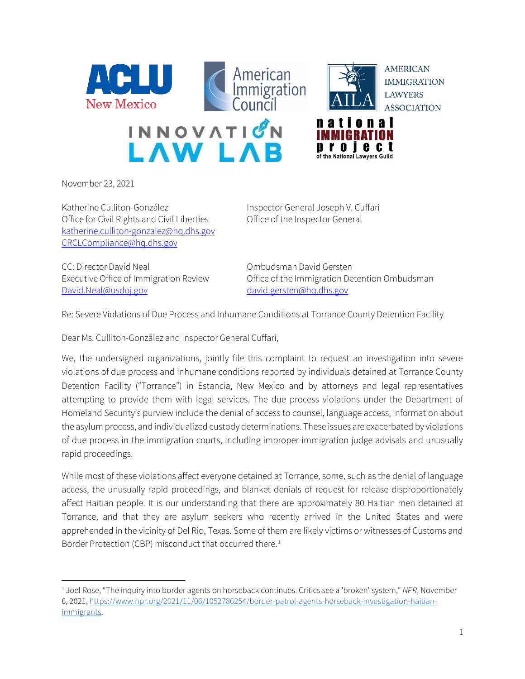



i e c t

**AMERICAN IMMIGRATION LAWYERS ASSOCIATION** 



November 23, 2021

Katherine Culliton-González **Inspector General Joseph V. Cuffari** Office for Civil Rights and Civil Liberties Office of the Inspector General katherine.culliton-gonzalez@hq.dhs.gov CRCLCompliance@hq.dhs.gov

CC: Director David Neal CC: Director David Neal David.Neal@usdoj.gov david.gersten@hq.dhs.gov

Executive Office of Immigration Review Office of the Immigration Detention Ombudsman

Re: Severe Violations of Due Process and Inhumane Conditions at Torrance County Detention Facility

Dear Ms. Culliton-González and Inspector General Cuffari,

We, the undersigned organizations, jointly file this complaint to request an investigation into severe violations of due process and inhumane conditions reported by individuals detained at Torrance County Detention Facility ("Torrance") in Estancia, New Mexico and by attorneys and legal representatives attempting to provide them with legal services. The due process violations under the Department of Homeland Security's purview include the denial of access to counsel, language access, information about the asylum process, and individualized custody determinations. These issues are exacerbated by violations of due process in the immigration courts, including improper immigration judge advisals and unusually rapid proceedings.

While most of these violations affect everyone detained at Torrance, some, such as the denial of language access, the unusually rapid proceedings, and blanket denials of request for release disproportionately affect Haitian people. It is our understanding that there are approximately 80 Haitian men detained at Torrance, and that they are asylum seekers who recently arrived in the United States and were apprehended in the vicinity of Del Rio, Texas. Some of them are likely victims or witnesses of Customs and Border Protection (CBP) misconduct that occurred there.<sup>1</sup>

<sup>1</sup> Joel Rose, "The inquiry into border agents on horseback continues. Critics see a 'broken' system," *NPR*, November 6, 2021, https://www.npr.org/2021/11/06/1052786254/border-patrol-agents-horseback-investigation-haitianimmigrants.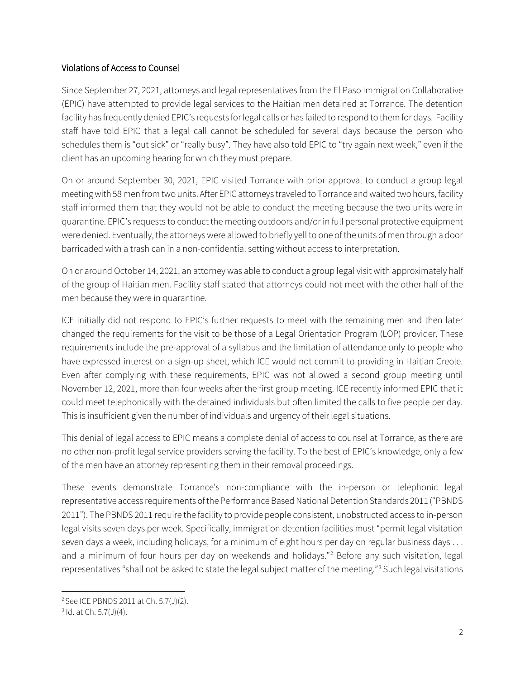## Violations of Access to Counsel

Since September 27, 2021, attorneys and legal representatives from the El Paso Immigration Collaborative (EPIC) have attempted to provide legal services to the Haitian men detained at Torrance. The detention facility has frequently denied EPIC's requests for legal calls or has failed to respond to them for days. Facility staff have told EPIC that a legal call cannot be scheduled for several days because the person who schedules them is "out sick" or "really busy". They have also told EPIC to "try again next week," even if the client has an upcoming hearing for which they must prepare.

On or around September 30, 2021, EPIC visited Torrance with prior approval to conduct a group legal meeting with 58 men from two units. After EPIC attorneys traveled to Torrance and waited two hours, facility staff informed them that they would not be able to conduct the meeting because the two units were in quarantine. EPIC's requests to conduct the meeting outdoors and/or in full personal protective equipment were denied. Eventually, the attorneys were allowed to briefly yell to one of the units of men through a door barricaded with a trash can in a non-confidential setting without access to interpretation.

On or around October 14, 2021, an attorney was able to conduct a group legal visit with approximately half of the group of Haitian men. Facility staff stated that attorneys could not meet with the other half of the men because they were in quarantine.

ICE initially did not respond to EPIC's further requests to meet with the remaining men and then later changed the requirements for the visit to be those of a Legal Orientation Program (LOP) provider. These requirements include the pre-approval of a syllabus and the limitation of attendance only to people who have expressed interest on a sign-up sheet, which ICE would not commit to providing in Haitian Creole. Even after complying with these requirements, EPIC was not allowed a second group meeting until November 12, 2021, more than four weeks after the first group meeting. ICE recently informed EPIC that it could meet telephonically with the detained individuals but often limited the calls to five people per day. This is insufficient given the number of individuals and urgency of their legal situations.

This denial of legal access to EPIC means a complete denial of access to counsel at Torrance, as there are no other non-profit legal service providers serving the facility. To the best of EPIC's knowledge, only a few of the men have an attorney representing them in their removal proceedings.

These events demonstrate Torrance's non-compliance with the in-person or telephonic legal representative access requirements of the Performance Based National Detention Standards 2011 ("PBNDS 2011"). The PBNDS 2011 require the facility to provide people consistent, unobstructed access to in-person legal visits seven days per week. Specifically, immigration detention facilities must "permit legal visitation seven days a week, including holidays, for a minimum of eight hours per day on regular business days . . . and a minimum of four hours per day on weekends and holidays."<sup>2</sup> Before any such visitation, legal representatives "shall not be asked to state the legal subject matter of the meeting."3 Such legal visitations

<sup>2</sup> See ICE PBNDS 2011 at Ch. 5.7(J)(2).

 $3$  Id. at Ch. 5.7(J)(4).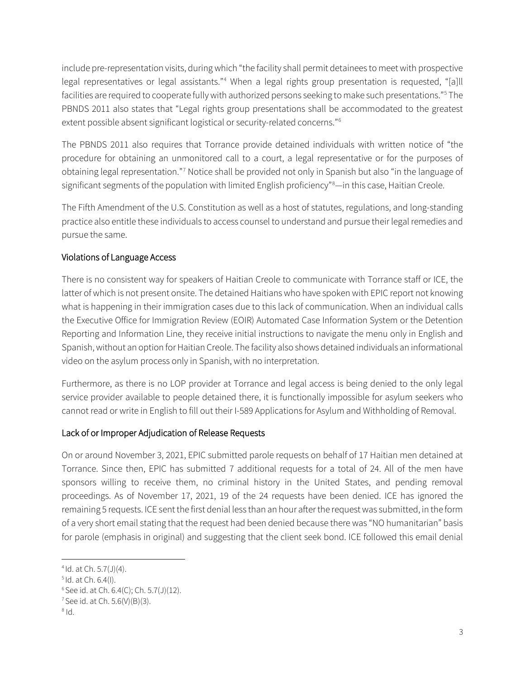include pre-representation visits, during which "the facility shall permit detainees to meet with prospective legal representatives or legal assistants."<sup>4</sup> When a legal rights group presentation is requested, "[a]ll facilities are required to cooperate fully with authorized persons seeking to make such presentations."5 The PBNDS 2011 also states that "Legal rights group presentations shall be accommodated to the greatest extent possible absent significant logistical or security-related concerns."6

The PBNDS 2011 also requires that Torrance provide detained individuals with written notice of "the procedure for obtaining an unmonitored call to a court, a legal representative or for the purposes of obtaining legal representation."7 Notice shall be provided not only in Spanish but also "in the language of significant segments of the population with limited English proficiency"8 —in this case, Haitian Creole.

The Fifth Amendment of the U.S. Constitution as well as a host of statutes, regulations, and long-standing practice also entitle these individuals to access counsel to understand and pursue their legal remedies and pursue the same.

## Violations of Language Access

There is no consistent way for speakers of Haitian Creole to communicate with Torrance staff or ICE, the latter of which is not present onsite. The detained Haitians who have spoken with EPIC report not knowing what is happening in their immigration cases due to this lack of communication. When an individual calls the Executive Office for Immigration Review (EOIR) Automated Case Information System or the Detention Reporting and Information Line, they receive initial instructions to navigate the menu only in English and Spanish, without an option for Haitian Creole. The facility also shows detained individuals an informational video on the asylum process only in Spanish, with no interpretation.

Furthermore, as there is no LOP provider at Torrance and legal access is being denied to the only legal service provider available to people detained there, it is functionally impossible for asylum seekers who cannot read or write in English to fill out their I-589 Applications for Asylum and Withholding of Removal.

## Lack of or Improper Adjudication of Release Requests

On or around November 3, 2021, EPIC submitted parole requests on behalf of 17 Haitian men detained at Torrance. Since then, EPIC has submitted 7 additional requests for a total of 24. All of the men have sponsors willing to receive them, no criminal history in the United States, and pending removal proceedings. As of November 17, 2021, 19 of the 24 requests have been denied. ICE has ignored the remaining 5 requests. ICE sent the first denial less than an hour after the request was submitted, in the form of a very short email stating that the request had been denied because there was "NO humanitarian" basis for parole (emphasis in original) and suggesting that the client seek bond. ICE followed this email denial

 $4$ Id. at Ch. 5.7(J)(4).

 $5$ Id. at Ch. 6.4(I).

 $6$  See id. at Ch. 6.4(C); Ch. 5.7(J)(12).

 $7$  See id. at Ch. 5.6(V)(B)(3).

 $h1^8$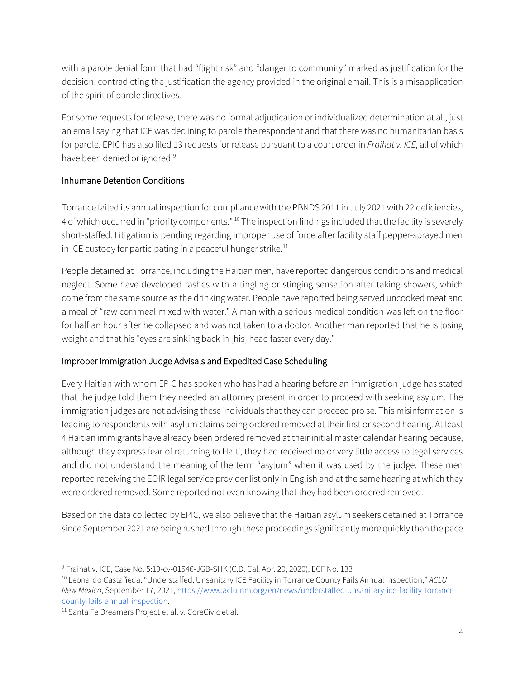with a parole denial form that had "flight risk" and "danger to community" marked as justification for the decision, contradicting the justification the agency provided in the original email. This is a misapplication of the spirit of parole directives.

For some requests for release, there was no formal adjudication or individualized determination at all, just an email saying that ICE was declining to parole the respondent and that there was no humanitarian basis for parole. EPIC has also filed 13 requests for release pursuant to a court order in *Fraihat v. ICE*, all of which have been denied or ignored.<sup>9</sup>

## Inhumane Detention Conditions

Torrance failed its annual inspection for compliance with the PBNDS 2011 in July 2021 with 22 deficiencies, 4 of which occurred in "priority components." <sup>10</sup> The inspection findings included that the facility is severely short-staffed. Litigation is pending regarding improper use of force after facility staff pepper-sprayed men in ICE custody for participating in a peaceful hunger strike.<sup>11</sup>

People detained at Torrance, including the Haitian men, have reported dangerous conditions and medical neglect. Some have developed rashes with a tingling or stinging sensation after taking showers, which come from the same source as the drinking water. People have reported being served uncooked meat and a meal of "raw cornmeal mixed with water." A man with a serious medical condition was left on the floor for half an hour after he collapsed and was not taken to a doctor. Another man reported that he is losing weight and that his "eyes are sinking back in [his] head faster every day."

# Improper Immigration Judge Advisals and Expedited Case Scheduling

Every Haitian with whom EPIC has spoken who has had a hearing before an immigration judge has stated that the judge told them they needed an attorney present in order to proceed with seeking asylum. The immigration judges are not advising these individuals that they can proceed pro se. This misinformation is leading to respondents with asylum claims being ordered removed at their first or second hearing. At least 4 Haitian immigrants have already been ordered removed at their initial master calendar hearing because, although they express fear of returning to Haiti, they had received no or very little access to legal services and did not understand the meaning of the term "asylum" when it was used by the judge. These men reported receiving the EOIR legal service provider list only in English and at the same hearing at which they were ordered removed. Some reported not even knowing that they had been ordered removed.

Based on the data collected by EPIC, we also believe that the Haitian asylum seekers detained at Torrance since September 2021 are being rushed through these proceedings significantly more quickly than the pace

<sup>&</sup>lt;sup>9</sup> Fraihat v. ICE, Case No. 5:19-cv-01546-JGB-SHK (C.D. Cal. Apr. 20, 2020), ECF No. 133

<sup>10</sup> Leonardo Castañeda, "Understaffed, Unsanitary ICE Facility in Torrance County Fails Annual Inspection," *ACLU New Mexico*, September 17, 2021, https://www.aclu-nm.org/en/news/understaffed-unsanitary-ice-facility-torrancecounty-fails-annual-inspection. 11 Santa Fe Dreamers Project et al. v. CoreCivic et al.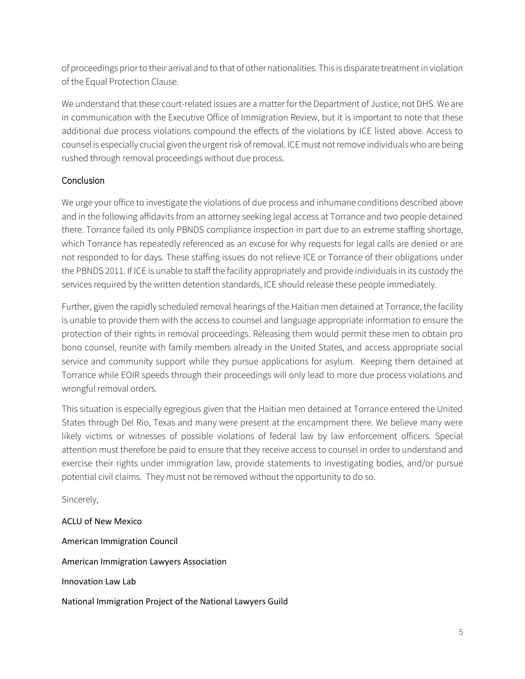of proceedings prior to their arrival and to that of other nationalities. This is disparate treatment in violation of the Equal Protection Clause.

We understand that these court-related issues are a matter for the Department of Justice, not DHS. We are in communication with the Executive Office of Immigration Review, but it is important to note that these additional due process violations compound the effects of the violations by ICE listed above. Access to counsel is especially crucial given the urgent risk of removal. ICE must not remove individuals who are being rushed through removal proceedings without due process.

## **Conclusion**

We urge your office to investigate the violations of due process and inhumane conditions described above and in the following affidavits from an attorney seeking legal access at Torrance and two people detained there. Torrance failed its only PBNDS compliance inspection in part due to an extreme staffing shortage, which Torrance has repeatedly referenced as an excuse for why requests for legal calls are denied or are not responded to for days. These staffing issues do not relieve ICE or Torrance of their obligations under the PBNDS 2011. If ICE is unable to staff the facility appropriately and provide individuals in its custody the services required by the written detention standards, ICE should release these people immediately.

Further, given the rapidly scheduled removal hearings of the Haitian men detained at Torrance, the facility is unable to provide them with the access to counsel and language appropriate information to ensure the protection of their rights in removal proceedings. Releasing them would permit these men to obtain pro bono counsel, reunite with family members already in the United States, and access appropriate social service and community support while they pursue applications for asylum. Keeping them detained at Torrance while EOIR speeds through their proceedings will only lead to more due process violations and wrongful removal orders.

This situation is especially egregious given that the Haitian men detained at Torrance entered the United States through Del Rio, Texas and many were present at the encampment there. We believe many were likely victims or witnesses of possible violations of federal law by law enforcement officers. Special attention must therefore be paid to ensure that they receive access to counsel in order to understand and exercise their rights under immigration law, provide statements to investigating bodies, and/or pursue potential civil claims. They must not be removed without the opportunity to do so.

Sincerely,

ACLU of New Mexico American Immigration Council American Immigration Lawyers Association Innovation Law Lab National Immigration Project of the National Lawyers Guild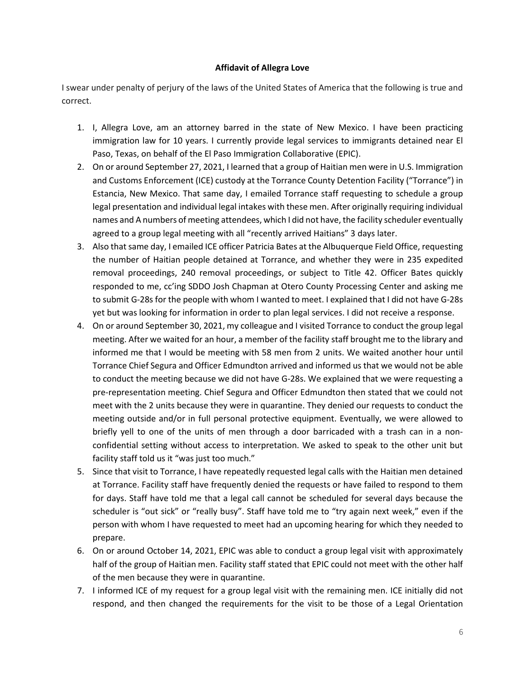#### **Affidavit of Allegra Love**

I swear under penalty of perjury of the laws of the United States of America that the following is true and correct.

- 1. I, Allegra Love, am an attorney barred in the state of New Mexico. I have been practicing immigration law for 10 years. I currently provide legal services to immigrants detained near El Paso, Texas, on behalf of the El Paso Immigration Collaborative (EPIC).
- 2. On or around September 27, 2021, I learned that a group of Haitian men were in U.S. Immigration and Customs Enforcement (ICE) custody at the Torrance County Detention Facility ("Torrance") in Estancia, New Mexico. That same day, I emailed Torrance staff requesting to schedule a group legal presentation and individual legal intakes with these men. After originally requiring individual names and A numbers of meeting attendees, which I did not have, the facility scheduler eventually agreed to a group legal meeting with all "recently arrived Haitians" 3 days later.
- 3. Also that same day, I emailed ICE officer Patricia Bates at the Albuquerque Field Office, requesting the number of Haitian people detained at Torrance, and whether they were in 235 expedited removal proceedings, 240 removal proceedings, or subject to Title 42. Officer Bates quickly responded to me, cc'ing SDDO Josh Chapman at Otero County Processing Center and asking me to submit G-28s for the people with whom I wanted to meet. I explained that I did not have G-28s yet but was looking for information in order to plan legal services. I did not receive a response.
- 4. On or around September 30, 2021, my colleague and I visited Torrance to conduct the group legal meeting. After we waited for an hour, a member of the facility staff brought me to the library and informed me that I would be meeting with 58 men from 2 units. We waited another hour until Torrance Chief Segura and Officer Edmundton arrived and informed us that we would not be able to conduct the meeting because we did not have G-28s. We explained that we were requesting a pre-representation meeting. Chief Segura and Officer Edmundton then stated that we could not meet with the 2 units because they were in quarantine. They denied our requests to conduct the meeting outside and/or in full personal protective equipment. Eventually, we were allowed to briefly yell to one of the units of men through a door barricaded with a trash can in a nonconfidential setting without access to interpretation. We asked to speak to the other unit but facility staff told us it "was just too much."
- 5. Since that visit to Torrance, I have repeatedly requested legal calls with the Haitian men detained at Torrance. Facility staff have frequently denied the requests or have failed to respond to them for days. Staff have told me that a legal call cannot be scheduled for several days because the scheduler is "out sick" or "really busy". Staff have told me to "try again next week," even if the person with whom I have requested to meet had an upcoming hearing for which they needed to prepare.
- 6. On or around October 14, 2021, EPIC was able to conduct a group legal visit with approximately half of the group of Haitian men. Facility staff stated that EPIC could not meet with the other half of the men because they were in quarantine.
- 7. I informed ICE of my request for a group legal visit with the remaining men. ICE initially did not respond, and then changed the requirements for the visit to be those of a Legal Orientation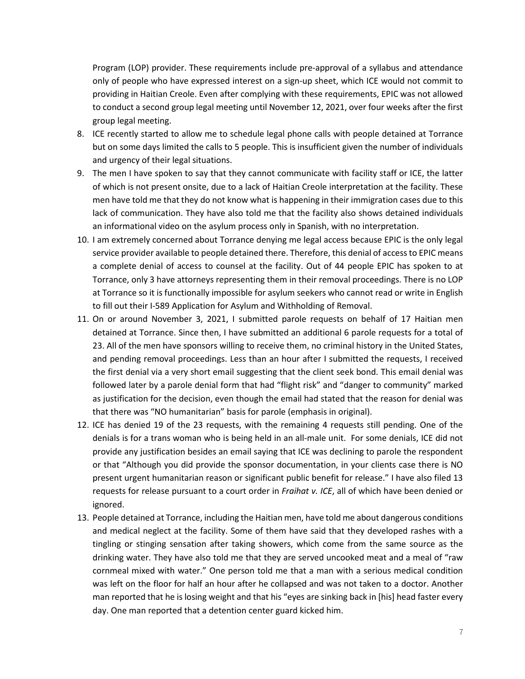Program (LOP) provider. These requirements include pre-approval of a syllabus and attendance only of people who have expressed interest on a sign-up sheet, which ICE would not commit to providing in Haitian Creole. Even after complying with these requirements, EPIC was not allowed to conduct a second group legal meeting until November 12, 2021, over four weeks after the first group legal meeting.

- 8. ICE recently started to allow me to schedule legal phone calls with people detained at Torrance but on some days limited the calls to 5 people. This is insufficient given the number of individuals and urgency of their legal situations.
- 9. The men I have spoken to say that they cannot communicate with facility staff or ICE, the latter of which is not present onsite, due to a lack of Haitian Creole interpretation at the facility. These men have told me that they do not know what is happening in their immigration cases due to this lack of communication. They have also told me that the facility also shows detained individuals an informational video on the asylum process only in Spanish, with no interpretation.
- 10. I am extremely concerned about Torrance denying me legal access because EPIC is the only legal service provider available to people detained there. Therefore, this denial of access to EPIC means a complete denial of access to counsel at the facility. Out of 44 people EPIC has spoken to at Torrance, only 3 have attorneys representing them in their removal proceedings. There is no LOP at Torrance so it is functionally impossible for asylum seekers who cannot read or write in English to fill out their I-589 Application for Asylum and Withholding of Removal.
- 11. On or around November 3, 2021, I submitted parole requests on behalf of 17 Haitian men detained at Torrance. Since then, I have submitted an additional 6 parole requests for a total of 23. All of the men have sponsors willing to receive them, no criminal history in the United States, and pending removal proceedings. Less than an hour after I submitted the requests, I received the first denial via a very short email suggesting that the client seek bond. This email denial was followed later by a parole denial form that had "flight risk" and "danger to community" marked as justification for the decision, even though the email had stated that the reason for denial was that there was "NO humanitarian" basis for parole (emphasis in original).
- 12. ICE has denied 19 of the 23 requests, with the remaining 4 requests still pending. One of the denials is for a trans woman who is being held in an all-male unit. For some denials, ICE did not provide any justification besides an email saying that ICE was declining to parole the respondent or that "Although you did provide the sponsor documentation, in your clients case there is NO present urgent humanitarian reason or significant public benefit for release." I have also filed 13 requests for release pursuant to a court order in *Fraihat v. ICE*, all of which have been denied or ignored.
- 13. People detained at Torrance, including the Haitian men, have told me about dangerous conditions and medical neglect at the facility. Some of them have said that they developed rashes with a tingling or stinging sensation after taking showers, which come from the same source as the drinking water. They have also told me that they are served uncooked meat and a meal of "raw cornmeal mixed with water." One person told me that a man with a serious medical condition was left on the floor for half an hour after he collapsed and was not taken to a doctor. Another man reported that he is losing weight and that his "eyes are sinking back in [his] head faster every day. One man reported that a detention center guard kicked him.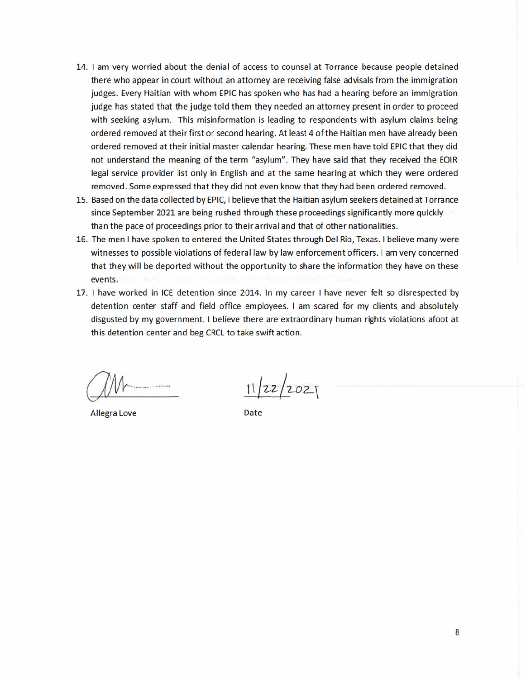- 14. I am very worried about the denial of access to counsel at Torrance because people detained there who appear in court without an attorney are receiving false advisals from the immigration judges. Every Haitian with whom EPIC has spoken who has had a hearing before an immigration judge has stated that the judge told them they needed an attorney present in order to proceed with seeking asylum. This misinformation is leading to respondents with asylum claims being ordered removed at their first or second hearing. At least 4 of the Haitian men have already been ordered removed at their initial master calendar hearing. These men have told EPIC that they did not understand the meaning of the term "asylum". They have said that they received the EOIR legal service provider list only in English and at the same hearing at which they were ordered removed. Some expressed that they did not even know that they had been ordered removed.
- 15. Based on the data collected by EPIC, I believe that the Haitian asylum seekers detained at Torrance since September 2021 are being rushed through these proceedings significantly more quickly than the pace of proceedings prior to their arrival and that of other nationalities.
- 16. The men I have spoken to entered the United States through Del Rio, Texas. I believe many were witnesses to possible violations of federal law by law enforcement officers. I am very concerned that they will be deported without the opportunity to share the information they have on these events.
- 17. I have worked in ICE detention since 2014. In my career I have never felt so disrespected by detention center staff and field office employees. I am scared for my clients and absolutely disgusted by my government. I believe there are extraordinary human rights violations afoot at this detention center and beg CRCL to take swift action.

**Allegra Love** 

 $11|22|2021$ 

Date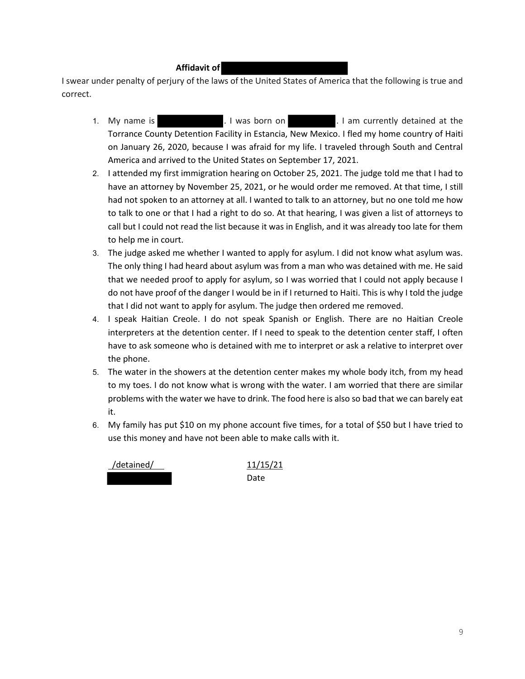#### **Affidavit of**

I swear under penalty of perjury of the laws of the United States of America that the following is true and correct.

- 1. My name is . I was born on . I am currently detained at the Torrance County Detention Facility in Estancia, New Mexico. I fled my home country of Haiti on January 26, 2020, because I was afraid for my life. I traveled through South and Central America and arrived to the United States on September 17, 2021.
- 2. I attended my first immigration hearing on October 25, 2021. The judge told me that I had to have an attorney by November 25, 2021, or he would order me removed. At that time, I still had not spoken to an attorney at all. I wanted to talk to an attorney, but no one told me how to talk to one or that I had a right to do so. At that hearing, I was given a list of attorneys to call but I could not read the list because it was in English, and it was already too late for them to help me in court.
- 3. The judge asked me whether I wanted to apply for asylum. I did not know what asylum was. The only thing I had heard about asylum was from a man who was detained with me. He said that we needed proof to apply for asylum, so I was worried that I could not apply because I do not have proof of the danger I would be in if I returned to Haiti. This is why I told the judge that I did not want to apply for asylum. The judge then ordered me removed.
- 4. I speak Haitian Creole. I do not speak Spanish or English. There are no Haitian Creole interpreters at the detention center. If I need to speak to the detention center staff, I often have to ask someone who is detained with me to interpret or ask a relative to interpret over the phone.
- 5. The water in the showers at the detention center makes my whole body itch, from my head to my toes. I do not know what is wrong with the water. I am worried that there are similar problems with the water we have to drink. The food here is also so bad that we can barely eat it.
- 6. My family has put \$10 on my phone account five times, for a total of \$50 but I have tried to use this money and have not been able to make calls with it.



Date